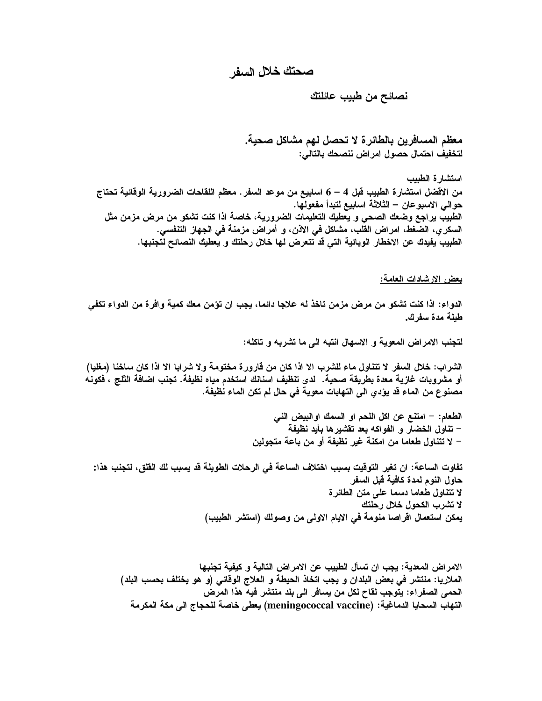## صحتك خلال السفر

نصائح من طبيب عائلتك

معظم المسافرين بالطائر ة لا تحصل لهم مشاكل صحية. لتخفيف احتمال حصول امراض ننصحك بالتالى:

استشار ة الطبب من الاقضل استشارة الطبيب قبل 4 – 6 اسابيع من موعد السفر . معظم اللقاحات الضرورية الوقائية تحتاج حوالي الاسبوعان – الثلاثة اسابيع لتبدأ مفعولها. الطبيب يراجع وضعك الصحى و يعطيك التعليمات الضرورية، خاصة اذا كنت تشكو من مرض مزمن مثل السكر ي، الضغط، امراض القلب، مشاكل في الاذن، و أمراض مزمنة في الجهاز التنفسي. الطبيب يفيدك عن الاخطار الوبائية التي قد تتعرض لها خلال رحلتك و يعطيك النصائح لتجنبها.

بعض الارشادات العامة:

الدواء: اذا كنت تشكو من مرض مزمن تاخذ له علاجا دائما، يجب ان تؤمن معك كمية وافرة من الدواء تكفي طبلة مدة سفرك.

لتجنب الامراض المعوية و الاسهال انتبه الى ما تشربه و تاكله:

الشراب: خلال السفر لا تتناول ماء للشرب الا اذا كان من قارورة مختومة ولا شرابا الا اذا كان ساخنا (مغلبا) أو مشروبات غازية معدة بطريقة صحية. لدى تنظيف اسنانك استخدم مياه نظيفة. تجنب اضافة الثلج ، فكونـه مصنوع من الماء قد يؤدي الى التهابات معوية في حال لم تكن الماء نظيفة.

> الطعام: – امتنـع عن اكل اللـحم او السمك اوالبيض النـى – تناول الخضار و الفواكه بعد تقشيرها بأيد نظيفة – لا تتناول طعاما من امكنة غير نظيفة أو من باعة متجولين

تفاوت الساعة: ان تغير التوقيت بسبب اختلاف الساعة في الرحلات الطويلة قد بسبب لك القلق، لتجنب هذا: حاول النوم لمدة كافية قبل السفر لا تتناول طعاما دسما على متن الطائرة لا تشرب الكحول خلال رحلتك يمكن استعمال اقراصا منومة في الايام الاولى من وصولك (استشر الطبيب)

الإمر اض المعدية: بجب ان تسأل الطبيب عن الإمر اض التالية و كيفية تجنبها الملاريا: منتشر في بعض البلدان و يجب اتخاذ الحيطة و العلاج الوقائي (و هو يختلف بحسب البلد) الحمى الصفراء: يتوجب لقاح لكل من يسافر الى بلد منتشر فيه هذا المرض التهاب السحايا الدماغية: (meningococcal vaccine) يعطي خاصة للحجاج الى مكة المكرمة